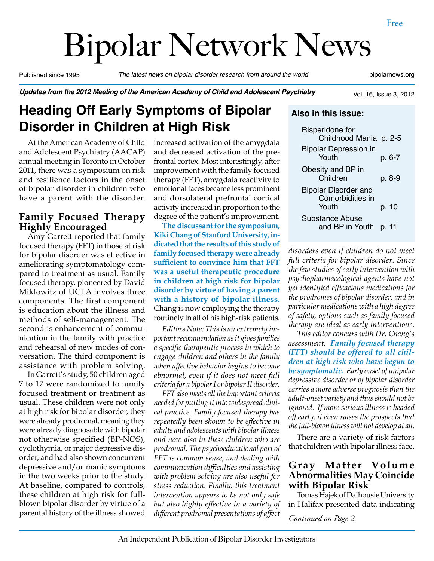# Bipolar Network News

Published since 1995 *The latest news on bipolar disorder research from around the world* bipolarnews.org

#### *Updates from the 2012 Meeting of the American Academy of Child and Adolescent Psychiatry*

Vol. 16, Issue 3, 2012

# **Heading Off Early Symptoms of Bipolar Disorder in Children at High Risk**

At the American Academy of Child and Adolescent Psychiatry (AACAP) annual meeting in Toronto in October 2011, there was a symposium on risk and resilience factors in the onset of bipolar disorder in children who have a parent with the disorder.

# **Family Focused Therapy Highly Encouraged**

Amy Garrett reported that family focused therapy (FFT) in those at risk for bipolar disorder was effective in ameliorating symptomatology compared to treatment as usual. Family focused therapy, pioneered by David Miklowitz of UCLA involves three components. The first component is education about the illness and methods of self-management. The second is enhancement of communication in the family with practice and rehearsal of new modes of conversation. The third component is assistance with problem solving.

In Garrett's study, 50 children aged 7 to 17 were randomized to family focused treatment or treatment as usual. These children were not only at high risk for bipolar disorder, they were already prodromal, meaning they were already diagnosable with bipolar not otherwise specified (BP-NOS), cyclothymia, or major depressive disorder, and had also shown concurrent depressive and/or manic symptoms in the two weeks prior to the study. At baseline, compared to controls, these children at high risk for fullblown bipolar disorder by virtue of a parental history of the illness showed

increased activation of the amygdala and decreased activation of the prefrontal cortex. Most interestingly, after improvement with the family focused therapy (FFT), amygdala reactivity to emotional faces became less prominent and dorsolateral prefrontal cortical activity increased in proportion to the degree of the patient's improvement.

**The discussant for the symposium, Kiki Chang of Stanford University, indicated that the results of this study of family focused therapy were already sufficient to convince him that FFT was a useful therapeutic procedure in children at high risk for bipolar disorder by virtue of having a parent with a history of bipolar illness.**  Chang is now employing the therapy routinely in all of his high-risk patients.

*Editors Note: This is an extremely important recommendation as it gives families a specific therapeutic process in which to engage children and others in the family when affective behavior begins to become abnormal, even if it does not meet full criteria for a bipolar I or bipolar II disorder.*

*FFT also meets all the important criteria needed for putting it into widespread clinical practice. Family focused therapy has repeatedly been shown to be effective in adults and adolescents with bipolar illness and now also in these children who are prodromal. The psychoeducational part of FFT is common sense, and dealing with communication difficulties and assisting with problem solving are also useful for stress reduction. Finally, this treatment intervention appears to be not only safe but also highly effective in a variety of different prodromal presentations of affect* 

| Risperidone for<br>Childhood Mania p. 2-5                |        |
|----------------------------------------------------------|--------|
| <b>Bipolar Depression in</b><br>Youth                    | p. 6-7 |
| Obesity and BP in<br>Children                            | p. 8-9 |
| <b>Bipolar Disorder and</b><br>Comorbidities in<br>Youth | p. 10  |
| <b>Substance Abuse</b><br>and BP in Youth                | p. 11  |

**Also in this issue:**

*disorders even if children do not meet full criteria for bipolar disorder. Since the few studies of early intervention with psychopharmacological agents have not yet identified efficacious medications for the prodromes of bipolar disorder, and in particular medications with a high degree of safety, options such as family focused therapy are ideal as early interventions.*

*This editor concurs with Dr. Chang's assessment. Family focused therapy (FFT) should be offered to all children at high risk who have begun to be symptomatic. Early onset of unipolar depressive disorder or of bipolar disorder carries a more adverse prognosis than the adult-onset variety and thus should not be ignored. If more serious illness is headed off early, it even raises the prospects that the full-blown illness will not develop at all.*

There are a variety of risk factors that children with bipolar illness face.

#### **Gray Matter Volume Abnormalities May Coincide with Bipolar Risk**

Tomas Hajek of Dalhousie University in Halifax presented data indicating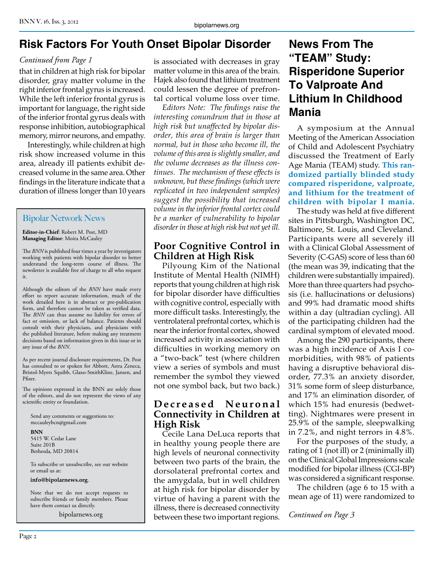# **Risk Factors For Youth Onset Bipolar Disorder**

### *Continued from Page 1*

that in children at high risk for bipolar disorder, gray matter volume in the right inferior frontal gyrus is increased. While the left inferior frontal gyrus is important for language, the right side of the inferior frontal gyrus deals with response inhibition, autobiographical memory, mirror neurons, and empathy.

Interestingly, while children at high risk show increased volume in this area, already ill patients exhibit decreased volume in the same area. Other findings in the literature indicate that a duration of illness longer than 10 years

# Bipolar Network News

**Editor-in-Chief**: Robert M. Post, MD **Managing Editor**: Moira McCauley

The *BNN* is published four times a year by investigators working with patients with bipolar disorder to better understand the long-term course of illness. The newsletter is available free of charge to all who request it.

Although the editors of the *BNN* have made every effort to report accurate information, much of the work detailed here is in abstract or pre-publication form, and therefore cannot be taken as verified data. The *BNN* can thus assume no liability for errors of fact or omission, or lack of balance. Patients should consult with their physicians, and physicians with the published literature, before making any treatment decisions based on information given in this issue or in any issue of the *BNN*.

As per recent journal disclosure requirements, Dr. Post has consulted to or spoken for Abbott, Astra Zeneca, Bristol-Myers Squibb, Glaxo-SmithKline, Jansen, and Pfizer.

The opinions expressed in the BNN are solely those of the editors, and do not represent the views of any scientific entity or foundation.

Send any comments or suggestions to: mccauleybcn@gmail.com

**BNN** 5415 W. Cedar Lane Suite 201B Bethesda, MD 20814

To subscribe or unsubscribe, see our website or email us at:

**info@bipolarnews.org**.

Note that we do not accept requests to subscribe friends or family members. Please have them contact us directly.

bipolarnews.org

is associated with decreases in gray matter volume in this area of the brain. Hajek also found that lithium treatment could lessen the degree of prefrontal cortical volume loss over time.

*Editors Note: The findings raise the interesting conundrum that in those at high risk but unaffected by bipolar disorder, this area of brain is larger than normal, but in those who become ill, the volume of this area is slightly smaller, and the volume decreases as the illness continues. The mechanism of these effects is unknown, but these findings (which were replicated in two independent samples) suggest the possibility that increased volume in the inferior frontal cortex could be a marker of vulnerability to bipolar disorder in those at high risk but not yet ill.*

# **Poor Cognitive Control in Children at High Risk**

Pilyoung Kim of the National Institute of Mental Health (NIMH) reports that young children at high risk for bipolar disorder have difficulties with cognitive control, especially with more difficult tasks. Interestingly, the ventrolateral prefrontal cortex, which is near the inferior frontal cortex, showed increased activity in association with difficulties in working memory on a "two-back" test (where children view a series of symbols and must remember the symbol they viewed not one symbol back, but two back.)

# **D e c r e a s e d N e u r o n a l Connectivity in Children at High Risk**

Cecile Lana DeLuca reports that in healthy young people there are high levels of neuronal connectivity between two parts of the brain, the dorsolateral prefrontal cortex and the amygdala, but in well children at high risk for bipolar disorder by virtue of having a parent with the illness, there is decreased connectivity between these two important regions.

# **News From The "TEAM" Study: Risperidone Superior To Valproate And Lithium In Childhood Mania**

A symposium at the Annual Meeting of the American Association of Child and Adolescent Psychiatry discussed the Treatment of Early Age Mania (TEAM) study. **This randomized partially blinded study compared risperidone, valproate, and lithium for the treatment of children with bipolar I mania.**

The study was held at five different sites in Pittsburgh, Washington DC, Baltimore, St. Louis, and Cleveland. Participants were all severely ill with a Clinical Global Assessment of Severity (C-GAS) score of less than 60 (the mean was 39, indicating that the children were substantially impaired). More than three quarters had psychosis (i.e. hallucinations or delusions) and 99% had dramatic mood shifts within a day (ultradian cycling). All of the participating children had the cardinal symptom of elevated mood.

Among the 290 participants, there was a high incidence of Axis I comorbidities, with 98% of patients having a disruptive behavioral disorder, 77.3% an anxiety disorder, 31% some form of sleep disturbance, and 17% an elimination disorder, of which 15% had enuresis (bedwetting). Nightmares were present in 25.9% of the sample, sleepwalking in 7.2%, and night terrors in 4.8%.

For the purposes of the study, a rating of 1 (not ill) or 2 (minimally ill) on the Clinical Global Impressions scale modified for bipolar illness (CGI-BP) was considered a significant response.

The children (age 6 to 15 with a mean age of 11) were randomized to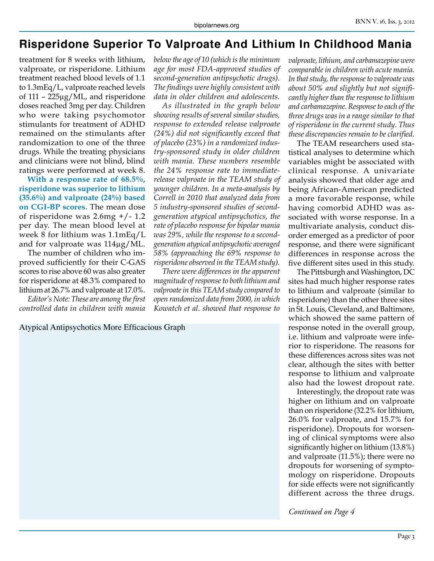# **Risperidone Superior To Valproate And Lithium In Childhood Mania**

treatment for 8 weeks with lithium, valproate, or risperidone. Lithium treatment reached blood levels of 1.1 to 1.3mEq/L, valproate reached levels of 111 – 225µg/ML, and risperidone doses reached 3mg per day. Children who were taking psychomotor stimulants for treatment of ADHD remained on the stimulants after randomization to one of the three drugs. While the treating physicians and clinicians were not blind, blind ratings were performed at week 8.

**With a response rate of 68.5%, risperidone was superior to lithium (35.6%) and valproate (24%) based on CGI-BP scores.** The mean dose of risperidone was 2.6mg +/- 1.2 per day. The mean blood level at week 8 for lithium was 1.1mEq/L and for valproate was 114µg/ML.

The number of children who improved sufficiently for their C-GAS scores to rise above 60 was also greater for risperidone at 48.3% compared to lithium at 26.7% and valproate at 17.0%.

*Editor's Note: These are among the first controlled data in children with mania* 

*below the age of 10 (which is the minimum age for most FDA-approved studies of second-generation antipsychotic drugs). The findings were highly consistent with data in older children and adolescents.*

*As illustrated in the graph below showing results of several similar studies, response to extended release valproate (24%) did not significantly exceed that of placebo (23%) in a randomized industry-sponsored study in older children with mania. These numbers resemble the 24% response rate to immediaterelease valproate in the TEAM study of younger children. In a meta-analysis by Correll in 2010 that analyzed data from 5 industry-sponsored studies of secondgeneration atypical antipsychotics, the rate of placebo response for bipolar mania was 29%, while the response to a secondgeneration atypical antipsychotic averaged 58% (approaching the 69% response to risperidone observed in the TEAM study).* 

*There were differences in the apparent magnitude of response to both lithium and valproate in this TEAM study compared to open randomized data from 2000, in which Kowatch et al. showed that response to* 

Atypical Antipsychotics More Efficacious Graph

*valproate, lithium, and carbamazepine were comparable in children with acute mania. In that study, the response to valproate was about 50% and slightly but not significantly higher than the response to lithium and carbamazepine. Response to each of the three drugs was in a range similar to that of risperidone in the current study. Thus these discrepancies remain to be clarified.*

The TEAM researchers used statistical analyses to determine which variables might be associated with clinical response. A univariate analysis showed that older age and being African-American predicted a more favorable response, while having comorbid ADHD was associated with worse response. In a multivariate analysis, conduct disorder emerged as a predictor of poor response, and there were significant differences in response across the five different sites used in this study.

The Pittsburgh and Washington, DC sites had much higher response rates to lithium and valproate (similar to risperidone) than the other three sites in St. Louis, Cleveland, and Baltimore, which showed the same pattern of response noted in the overall group, i.e. lithium and valproate were inferior to risperidone. The reasons for these differences across sites was not clear, although the sites with better response to lithium and valproate also had the lowest dropout rate.

Interestingly, the dropout rate was higher on lithium and on valproate than on risperidone (32.2% for lithium, 26.0% for valproate, and 15.7% for risperidone). Dropouts for worsening of clinical symptoms were also significantly higher on lithium (13.8%) and valproate (11.5%); there were no dropouts for worsening of symptomology on risperidone. Dropouts for side effects were not significantly different across the three drugs.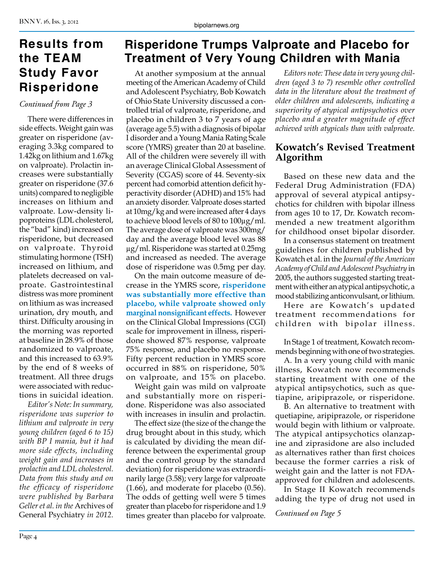# **Results from the TEAM Study Favor Risperidone**

#### *Continued from Page 3*

There were differences in side effects. Weight gain was greater on risperidone (averaging 3.3kg compared to 1.42kg on lithium and 1.67kg on valproate). Prolactin increases were substantially greater on risperidone (37.6 units) compared to negligible increases on lithium and valproate. Low-density lipoproteins (LDL cholesterol, the "bad" kind) increased on risperidone, but decreased on valproate. Thyroid stimulating hormone (TSH) increased on lithium, and platelets decreased on valproate. Gastrointestinal distress was more prominent on lithium as was increased urination, dry mouth, and thirst. Difficulty arousing in the morning was reported at baseline in 28.9% of those randomized to valproate, and this increased to 63.9% by the end of 8 weeks of treatment. All three drugs were associated with reductions in suicidal ideation.

*Editor's Note: In summary, risperidone was superior to lithium and valproate in very young children (aged 6 to 15) with BP I mania, but it had more side effects, including weight gain and increases in prolactin and LDL cholesterol. Data from this study and on the efficacy of risperidone were published by Barbara Geller et al. in the* Archives of General Psychiatry *in 2012.*

# **Risperidone Trumps Valproate and Placebo for Treatment of Very Young Children with Mania**

At another symposium at the annual meeting of the American Academy of Child and Adolescent Psychiatry, Bob Kowatch of Ohio State University discussed a controlled trial of valproate, risperidone, and placebo in children 3 to 7 years of age (average age 5.5) with a diagnosis of bipolar I disorder and a Young Mania Rating Scale score (YMRS) greater than 20 at baseline. All of the children were severely ill with an average Clinical Global Assessment of Severity (CGAS) score of 44. Seventy-six percent had comorbid attention deficit hyperactivity disorder (ADHD) and 15% had an anxiety disorder. Valproate doses started at 10mg/kg and were increased after 4 days to achieve blood levels of 80 to 100µg/ml. The average dose of valproate was 300mg/ day and the average blood level was 88 µg/ml. Risperidone was started at 0.25mg and increased as needed. The average dose of risperidone was 0.5mg per day.

On the main outcome measure of decrease in the YMRS score, **risperidone was substantially more effective than placebo, while valproate showed only marginal nonsignificant effects.** However on the Clinical Global Impressions (CGI) scale for improvement in illness, risperidone showed 87% response, valproate 75% response, and placebo no response. Fifty percent reduction in YMRS score occurred in 88% on risperidone, 50% on valproate, and 15% on placebo.

Weight gain was mild on valproate and substantially more on risperidone. Risperidone was also associated with increases in insulin and prolactin.

The effect size (the size of the change the drug brought about in this study, which is calculated by dividing the mean difference between the experimental group and the control group by the standard deviation) for risperidone was extraordinarily large (3.58); very large for valproate (1.66), and moderate for placebo (0.56). The odds of getting well were 5 times greater than placebo for risperidone and 1.9 times greater than placebo for valproate.

*Editors note: These data in very young children (aged 3 to 7) resemble other controlled data in the literature about the treatment of older children and adolescents, indicating a superiority of atypical antipsychotics over placebo and a greater magnitude of effect achieved with atypicals than with valproate.* 

# **Kowatch's Revised Treatment Algorithm**

Based on these new data and the Federal Drug Administration (FDA) approval of several atypical antipsychotics for children with bipolar illness from ages 10 to 17, Dr. Kowatch recommended a new treatment algorithm for childhood onset bipolar disorder.

In a consensus statement on treatment guidelines for children published by Kowatch et al. in the *Journal of the American Academy of Child and Adolescent Psychiatry* in 2005, the authors suggested starting treatment with either an atypical antipsychotic, a mood stabilizing anticonvulsant, or lithium.

Here are Kowatch's updated treatment recommendations for children with bipolar illness.

In Stage 1 of treatment, Kowatch recommends beginning with one of two strategies.

A. In a very young child with manic illness, Kowatch now recommends starting treatment with one of the atypical antipsychotics, such as quetiapine, aripiprazole, or risperidone.

B. An alternative to treatment with quetiapine, aripiprazole, or risperidone would begin with lithium or valproate. The atypical antipsychotics olanzapine and ziprasidone are also included as alternatives rather than first choices because the former carries a risk of weight gain and the latter is not FDAapproved for children and adolescents.

In Stage II Kowatch recommends adding the type of drug not used in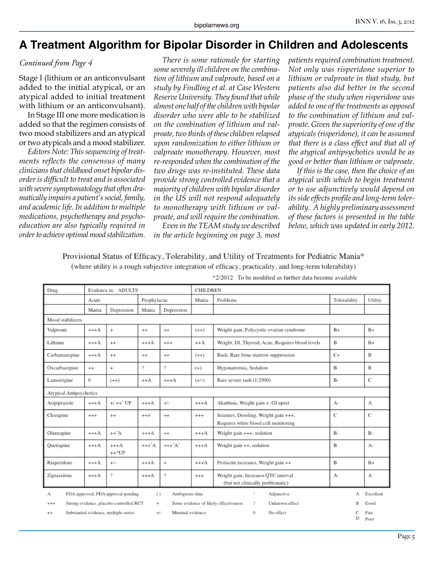# **A Treatment Algorithm for Bipolar Disorder in Children and Adolescents**

Stage I (lithium or an anticonvulsant added to the initial atypical, or an atypical added to initial treatment with lithium or an anticonvulsant).

In Stage III one more medication is added so that the regimen consists of two mood stabilizers and an atypical or two atypicals and a mood stabilizer.

*Editors Note: This sequencing of treatments reflects the consensus of many clinicians that childhood onset bipolar disorder is difficult to treat and is associated with severe symptomatology that often dramatically impairs a patient's social, family, and academic life. In addition to multiple medications, psychotherapy and psychoeducation are also typically required in order to achieve optimal mood stabilization.*

*Continued from Page 4 There is some rationale for starting some severely ill children on the combination of lithium and valproate, based on a study by Findling et al. at Case Western Reserve University. They found that while almost one half of the children with bipolar disorder who were able to be stabilized on the combination of lithium and valproate, two thirds of these children relapsed upon randomization to either lithium or valproate monotherapy. However, most re-responded when the combination of the two drugs was re-instituted. These data provide strong controlled evidence that a majority of children with bipolar disorder in the US will not respond adequately to monotherapy with lithium or valproate, and will require the combination.*

*Even in the TEAM study we described in the article beginning on page 3, most* 

*patients required combination treatment. Not only was risperidone superior to lithium or valproate in that study, but patients also did better in the second phase of the study when risperidone was added to one of the treatments as opposed to the combination of lithium and valproate. Given the superiority of one of the atypicals (risperidone), it can be assumed that there is a class effect and that all of the atypical antipsychotics would be as good or better than lithium or valproate.*

*If this is the case, then the choice of an atypical with which to begin treatment or to use adjunctively would depend on its side effects profile and long-term tolerability. A highly preliminary assessment of these factors is presented in the table below, which was updated in early 2012.*

Provisional Status of Efficacy, Tolerability, and Utility of Treatments for Pediatric Mania\* (where utility is a rough subjective integration of efficacy, practicality, and long-term tolerability)

| Drug                                                                                                                             | Evidence in: ADULTS |                   |              |                   | CHILDREN |                                                                              |              |              |  |  |
|----------------------------------------------------------------------------------------------------------------------------------|---------------------|-------------------|--------------|-------------------|----------|------------------------------------------------------------------------------|--------------|--------------|--|--|
|                                                                                                                                  | Acute               |                   | Prophylactic |                   | Mania    | Problems                                                                     | Tolerability | Utility      |  |  |
|                                                                                                                                  | Mania               | Depression        | Mania        | Depression        |          |                                                                              |              |              |  |  |
| Mood stabilizers                                                                                                                 |                     |                   |              |                   |          |                                                                              |              |              |  |  |
| Valproate                                                                                                                        | $^{+++A}$           | $^{+}$            | $^{++}$      | $^{++}$           | $(++)$   | Weight gain, Polycystic ovarian syndrome                                     | $B+$         | $B+$         |  |  |
| Lithium                                                                                                                          | $^{+++A}$           | $^{++}$           | $+++A$       | $^{+++}$          | $+A$     | Weight, DI, Thyroid, Acne, Requires blood levels                             | B            | $B+$         |  |  |
| Carbamazepine                                                                                                                    | $_{+++A}$           | $^{++}$           | $^{++}$      | $^{++}$           | $(++)$   | Rash, Rare bone marrow suppression                                           | $C+$         | B            |  |  |
| Oxcarbazepine                                                                                                                    | $^{++}$             | $^{+}$            | Ÿ.           | 2                 | $(+)$    | Hyponatremia, Sedation                                                       | В            | B            |  |  |
| Lamotrigine                                                                                                                      | 0                   | $(++)$            | $+A$         | $+++A$            | $(+/-)$  | Rare severe rash (1/2500)                                                    | $B-$         | C            |  |  |
| Atypical Antipsychotics                                                                                                          |                     |                   |              |                   |          |                                                                              |              |              |  |  |
| Aripiprazole                                                                                                                     | $^{+++A}$           | $+/++^*$ UP       | $^{+++A}$    | $+/-$             | $+++A$   | Akathisia, Weight gain +, GI upset                                           | $A-$         | A            |  |  |
| Clozapine                                                                                                                        | $^{+++}$            | $^{++}$           | $^{+++}$     | $^{++}$           | $^{+++}$ | Seizures, Drooling, Weight gain +++,<br>Requires white blood cell monitoring | $\mathbf C$  | $\mathbb{C}$ |  |  |
| Olanzapine                                                                                                                       | $^{+++A}$           | $++^*A$           | $^{++A}$     | $^{++}$           | $+++A$   | Weight gain +++, sedation                                                    | $B-$         | $B-$         |  |  |
| Quetiapine                                                                                                                       | $^{+++A}$           | $+++A$<br>$++*UP$ | $++^*A$      | $++^{\dagger}A^*$ | $+++A$   | Weight gain $++$ , sedation                                                  | B            | $A -$        |  |  |
| Risperidone                                                                                                                      | $^{+++A}$           | $+/-$             | $+++A$       | ÷                 | $+++A$   | Prolactin increases, Weight gain ++                                          | B            | $B+$         |  |  |
| Ziprasidone                                                                                                                      | $^{+++A}$           | 7                 | $+++A$       | ?                 | $^{+++}$ | Weight gain, Increases QTC interval<br>(but not clinically problematic)      | $A-$         | A            |  |  |
| FDA approved, FDA approval pending<br>Ambiguous data<br>$\pm$<br>Adjunctive<br>$\left(\cdot\right)$<br>А<br>А                    |                     |                   |              |                   |          |                                                                              |              |              |  |  |
| Strong evidence, placebo controlled RCT<br>Some evidence of likely effectiveness<br>2<br>Unknown effect<br>$\ddot{}$<br>$^{+++}$ |                     |                   |              |                   |          |                                                                              |              | Good         |  |  |
| Minimal evidence<br>0<br>No effect<br>Substantial evidence, multiple series<br>$+/-$<br>$^{++}$                                  |                     |                   |              |                   |          |                                                                              |              | Fair<br>Poor |  |  |

\*2/2012 To be modified as further data become available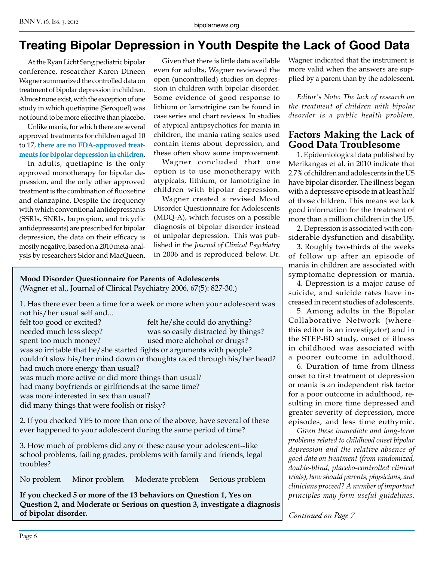# **Treating Bipolar Depression in Youth Despite the Lack of Good Data**

At the Ryan Licht Sang pediatric bipolar conference, researcher Karen Dineen Wagner summarized the controlled data on treatment of bipolar depression in children. Almost none exist, with the exception of one study in which quetiapine (Seroquel) was not found to be more effective than placebo.

Unlike mania, for which there are several approved treatments for children aged 10 to 17, **there are no FDA-approved treatments for bipolar depression in children**.

In adults, quetiapine is the only approved monotherapy for bipolar depression, and the only other approved treatment is the combination of fluoxetine and olanzapine. Despite the frequency with which conventional antidepressants (SSRIs, SNRIs, bupropion, and tricyclic antidepressants) are prescribed for bipolar depression, the data on their efficacy is mostly negative, based on a 2010 meta-analysis by researchers Sidor and MacQueen.

Given that there is little data available even for adults, Wagner reviewed the open (uncontrolled) studies on depression in children with bipolar disorder. Some evidence of good response to lithium or lamotrigine can be found in case series and chart reviews. In studies of atypical antipsychotics for mania in children, the mania rating scales used contain items about depression, and these often show some improvement.

Wagner concluded that one option is to use monotherapy with atypicals, lithium, or lamotrigine in children with bipolar depression.

Wagner created a revised Mood Disorder Questionnaire for Adolescents (MDQ-A), which focuses on a possible diagnosis of bipolar disorder instead of unipolar depression. This was published in the *Journal of Clinical Psychiatry* in 2006 and is reproduced below. Dr.

#### **Mood Disorder Questionnaire for Parents of Adolescents** (Wagner et al., Journal of Clinical Psychiatry 2006, 67(5): 827-30.)

1. Has there ever been a time for a week or more when your adolescent was not his/her usual self and... felt too good or excited? felt he/she could do anything? needed much less sleep? was so easily distracted by things? spent too much money? used more alchohol or drugs? was so irritable that he/she started fights or arguments with people? couldn't slow his/her mind down or thoughts raced through his/her head? had much more energy than usual? was much more active or did more things than usual? had many boyfriends or girlfriends at the same time? was more interested in sex than usual? did many things that were foolish or risky?

2. If you checked YES to more than one of the above, have several of these ever happened to your adolescent during the same period of time?

3. How much of problems did any of these cause your adolescent--like school problems, failing grades, problems with family and friends, legal troubles?

No problem Minor problem Moderate problem Serious problem

**If you checked 5 or more of the 13 behaviors on Question 1, Yes on Question 2, and Moderate or Serious on question 3, investigate a diagnosis of bipolar disorder.** *Continued on Page 7*

Wagner indicated that the instrument is more valid when the answers are supplied by a parent than by the adolescent.

*Editor's Note: The lack of research on the treatment of children with bipolar disorder is a public health problem.* 

### **Factors Making the Lack of Good Data Troublesome**

1. Epidemiological data published by Merikangas et al. in 2010 indicate that 2.7% of children and adolescents in the US have bipolar disorder. The illness began with a depressive episode in at least half of those children. This means we lack good information for the treatment of more than a million children in the US.

2. Depression is associated with considerable dysfunction and disability.

3. Roughly two-thirds of the weeks of follow up after an episode of mania in children are associated with symptomatic depression or mania.

4. Depression is a major cause of suicide, and suicide rates have increased in recent studies of adolescents.

5. Among adults in the Bipolar Collaborative Network (wherethis editor is an investigator) and in the STEP-BD study, onset of illness in childhood was associated with a poorer outcome in adulthood.

6. Duration of time from illness onset to first treatment of depression or mania is an independent risk factor for a poor outcome in adulthood, resulting in more time depressed and greater severity of depression, more episodes, and less time euthymic.

*Given these immediate and long-term problems related to childhood onset bipolar depression and the relative absence of good data on treatment (from randomized, double-blind, placebo-controlled clinical trials), how should parents, physicians, and clinicians proceed? A number of important principles may form useful guidelines.*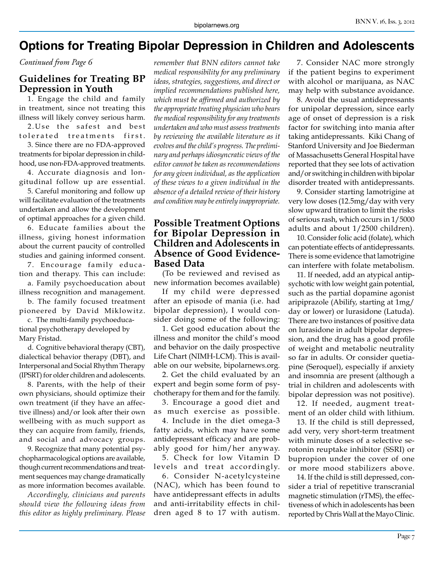# **Options for Treating Bipolar Depression in Children and Adolescents**

*Continued from Page 6*

# **Guidelines for Treating BP Depression in Youth**

1. Engage the child and family in treatment, since not treating this illness will likely convey serious harm.

2. Use the safest and best tolerated treatments first.

3. Since there are no FDA-approved treatments for bipolar depression in childhood, use non-FDA-approved treatments.

4. Accurate diagnosis and longitudinal follow up are essential.

5. Careful monitoring and follow up will facilitate evaluation of the treatments undertaken and allow the development of optimal approaches for a given child.

6. Educate families about the illness, giving honest information about the current paucity of controlled studies and gaining informed consent.

7. Encourage family education and therapy. This can include:

a. Family psychoeducation about illness recognition and management.

b. The family focused treatment pioneered by David Miklowitz.

c. The multi-family psychoeducational psychotherapy developed by Mary Fristad.

d. Cognitive behavioral therapy (CBT), dialectical behavior therapy (DBT), and Interpersonal and Social Rhythm Therapy (IPSRT) for older children and adolescents.

8. Parents, with the help of their own physicians, should optimize their own treatment (if they have an affective illness) and/or look after their own wellbeing with as much support as they can acquire from family, friends, and social and advocacy groups.

9. Recognize that many potential psychopharmacological options are available, though current recommendations and treatment sequences may change dramatically as more information becomes available.

*Accordingly, clinicians and parents should view the following ideas from this editor as highly preliminary. Please* 

*remember that BNN editors cannot take medical responsibility for any preliminary ideas, strategies, suggestions, and direct or implied recommendations published here, which must be affirmed and authorized by the appropriate treating physician who bears the medical responsibility for any treatments undertaken and who must assess treatments by reviewing the available literature as it evolves and the child's progress. The preliminary and perhaps idiosyncratic views of the editor cannot be taken as recommendations for any given individual, as the application of these views to a given individual in the absence of a detailed review of their history and condition may be entirely inappropriate.*

#### **Possible Treatment Options for Bipolar Depression in Children and Adolescents in Absence of Good Evidence-Based Data**

(To be reviewed and revised as new information becomes available)

If my child were depressed after an episode of mania (i.e. had bipolar depression), I would consider doing some of the following:

1. Get good education about the illness and monitor the child's mood and behavior on the daily prospective Life Chart (NIMH-LCM). This is available on our website, bipolarnews.org.

2. Get the child evaluated by an expert and begin some form of psychotherapy for them and for the family.

3. Encourage a good diet and as much exercise as possible.

4. Include in the diet omega-3 fatty acids, which may have some antidepressant efficacy and are probably good for him/her anyway.

5. Check for low Vitamin D levels and treat accordingly.

6. Consider N-acetylcysteine (NAC), which has been found to have antidepressant effects in adults and anti-irritability effects in children aged 8 to 17 with autism.

7. Consider NAC more strongly if the patient begins to experiment with alcohol or marijuana, as NAC may help with substance avoidance.

8. Avoid the usual antidepressants for unipolar depression, since early age of onset of depression is a risk factor for switching into mania after taking antidepressants. Kiki Chang of Stanford University and Joe Biederman of Massachusetts General Hospital have reported that they see lots of activation and/or switching in children with bipolar disorder treated with antidepressants.

9. Consider starting lamotrigine at very low doses (12.5mg/day with very slow upward titration to limit the risks of serious rash, which occurs in 1/5000 adults and about 1/2500 children).

10. Consider folic acid (folate), which can potentiate effects of antidepressants. There is some evidence that lamotrigine can interfere with folate metabolism.

11. If needed, add an atypical antipsychotic with low weight gain potential, such as the partial dopamine agonist aripiprazole (Abilify, starting at 1mg/ day or lower) or lurasidone (Latuda). There are two instances of positive data on lurasidone in adult bipolar depression, and the drug has a good profile of weight and metabolic neutrality so far in adults. Or consider quetiapine (Seroquel), especially if anxiety and insomnia are present (although a trial in children and adolescents with bipolar depression was not positive).

12. If needed, augment treatment of an older child with lithium.

13. If the child is still depressed, add very, very short-term treatment with minute doses of a selective serotonin reuptake inhibitor (SSRI) or bupropion under the cover of one or more mood stabilizers above.

14. If the child is still depressed, consider a trial of repetitive transcranial magnetic stimulation (rTMS), the effectiveness of which in adolescents has been reported by Chris Wall at the Mayo Clinic.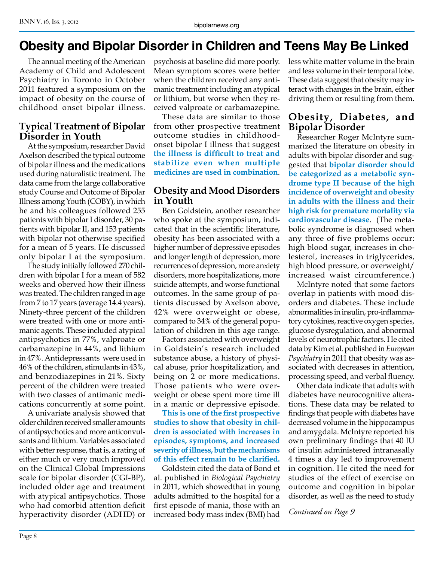# **Obesity and Bipolar Disorder in Children and Teens May Be Linked**

The annual meeting of the American Academy of Child and Adolescent Psychiatry in Toronto in October 2011 featured a symposium on the impact of obesity on the course of childhood onset bipolar illness.

# **Typical Treatment of Bipolar Disorder in Youth**

At the symposium, researcher David Axelson described the typical outcome of bipolar illness and the medications used during naturalistic treatment. The data came from the large collaborative study Course and Outcome of Bipolar Illness among Youth (COBY), in which he and his colleagues followed 255 patients with bipolar I disorder, 30 patients with bipolar II, and 153 patients with bipolar not otherwise specified for a mean of 5 years. He discussed only bipolar I at the symposium.

The study initially followed 270 children with bipolar I for a mean of 582 weeks and oberved how their illness was treated. The children ranged in age from 7 to 17 years (average 14.4 years). Ninety-three percent of the children were treated with one or more antimanic agents. These included atypical antipsychotics in 77%, valproate or carbamazepine in 44%, and lithium in 47%. Antidepressants were used in 46% of the children, stimulants in 43%, and benzodiazepines in 21%. Sixty percent of the children were treated with two classes of antimanic medications concurrently at some point.

A univariate analysis showed that older children received smaller amounts of antipsychotics and more anticonvulsants and lithium. Variables associated with better response, that is, a rating of either much or very much improved on the Clinical Global Impressions scale for bipolar disorder (CGI-BP), included older age and treatment with atypical antipsychotics. Those who had comorbid attention deficit hyperactivity disorder (ADHD) or

psychosis at baseline did more poorly. Mean symptom scores were better when the children received any antimanic treatment including an atypical or lithium, but worse when they received valproate or carbamazepine.

These data are similar to those from other prospective treatment outcome studies in childhoodonset bipolar I illness that suggest **the illness is difficult to treat and stabilize even when multiple medicines are used in combination**.

# **Obesity and Mood Disorders in Youth**

Ben Goldstein, another researcher who spoke at the symposium, indicated that in the scientific literature, obesity has been associated with a higher number of depressive episodes and longer length of depression, more recurrences of depression, more anxiety disorders, more hospitalizations, more suicide attempts, and worse functional outcomes. In the same group of patients discussed by Axelson above, 42% were overweight or obese, compared to 34% of the general population of children in this age range.

Factors associated with overweight in Goldstein's research included substance abuse, a history of physical abuse, prior hospitalization, and being on 2 or more medications. Those patients who were overweight or obese spent more time ill in a manic or depressive episode.

**This is one of the first prospective studies to show that obesity in children is associated with increases in episodes, symptoms, and increased severity of illness, but the mechanisms of this effect remain to be clarified.** 

Goldstein cited the data of Bond et al. published in *Biological Psychiatry* in 2011, which showedthat in young adults admitted to the hospital for a first episode of mania, those with an increased body mass index (BMI) had less white matter volume in the brain and less volume in their temporal lobe. These data suggest that obesity may interact with changes in the brain, either driving them or resulting from them.

# **Obesity, Diabetes, and Bipolar Disorder**

Researcher Roger McIntyre summarized the literature on obesity in adults with bipolar disorder and suggested that **bipolar disorder should be categorized as a metabolic syndrome type II because of the high incidence of overweight and obesity in adults with the illness and their high risk for premature mortality via cardiovascular disease**. (The metabolic syndrome is diagnosed when any three of five problems occur: high blood sugar, increases in cholesterol, increases in triglycerides, high blood pressure, or overweight/ increased waist circumference.)

McIntyre noted that some factors overlap in patients with mood disorders and diabetes. These include abnormalities in insulin, pro-inflammatory cytokines, reactive oxygen species, glucose dysregulation, and abnormal levels of neurotrophic factors. He cited data by Kim et al. published in *European Psychiatry* in 2011 that obesity was associated with decreases in attention, processing speed, and verbal fluency.

Other data indicate that adults with diabetes have neurocognitive alterations. These data may be related to findings that people with diabetes have decreased volume in the hippocampus and amygdala. McIntyre reported his own preliminary findings that 40 IU of insulin administered intranasally 4 times a day led to improvement in cognition. He cited the need for studies of the effect of exercise on outcome and cognition in bipolar disorder, as well as the need to study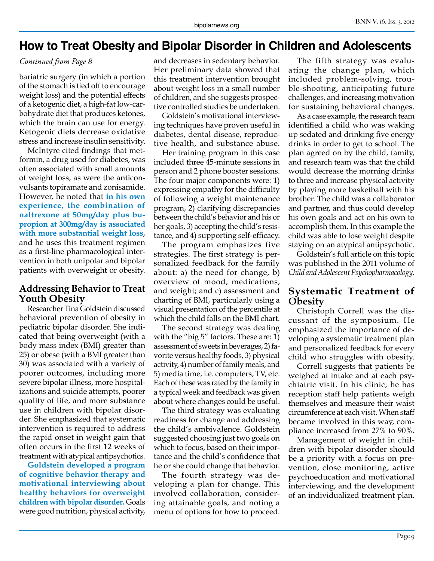# **How to Treat Obesity and Bipolar Disorder in Children and Adolescents**

#### *Continued from Page 8*

bariatric surgery (in which a portion of the stomach is tied off to encourage weight loss) and the potential effects of a ketogenic diet, a high-fat low-carbohydrate diet that produces ketones, which the brain can use for energy. Ketogenic diets decrease oxidative stress and increase insulin sensitivity.

McIntyre cited findings that metformin, a drug used for diabetes, was often associated with small amounts of weight loss, as were the anticonvulsants topiramate and zonisamide. However, he noted that **in his own experience, the combination of naltrexone at 50mg/day plus bupropion at 300mg/day is associated with more substantial weight loss**, and he uses this treatment regimen as a first-line pharmacological intervention in both unipolar and bipolar patients with overweight or obesity.

### **Addressing Behavior to Treat Youth Obesity**

Researcher Tina Goldstein discussed behavioral prevention of obesity in pediatric bipolar disorder. She indicated that being overweight (with a body mass index (BMI) greater than 25) or obese (with a BMI greater than 30) was associated with a variety of poorer outcomes, including more severe bipolar illness, more hospitalizations and suicide attempts, poorer quality of life, and more substance use in children with bipolar disorder. She emphasized that systematic intervention is required to address the rapid onset in weight gain that often occurs in the first 12 weeks of treatment with atypical antipsychotics.

**Goldstein developed a program of cognitive behavior therapy and motivational interviewing about healthy behaviors for overweight children with bipolar disorder.** Goals were good nutrition, physical activity,

and decreases in sedentary behavior. Her preliminary data showed that this treatment intervention brought about weight loss in a small number of children, and she suggests prospective controlled studies be undertaken.

Goldstein's motivational interviewing techniques have proven useful in diabetes, dental disease, reproductive health, and substance abuse.

Her training program in this case included three 45-minute sessions in person and 2 phone booster sessions. The four major components were: 1) expressing empathy for the difficulty of following a weight maintenance program, 2) clarifying discrepancies between the child's behavior and his or her goals, 3) accepting the child's resistance, and 4) supporting self-efficacy.

The program emphasizes five strategies. The first strategy is personalized feedback for the family about: a) the need for change, b) overview of mood, medications, and weight; and c) assessment and charting of BMI, particularly using a visual presentation of the percentile at which the child falls on the BMI chart.

The second strategy was dealing with the "big 5" factors. These are: 1) assessment of sweets in beverages, 2) favorite versus healthy foods, 3) physical activity, 4) number of family meals, and 5) media time, i.e. computers, TV, etc. Each of these was rated by the family in a typical week and feedback was given about where changes could be useful.

The third strategy was evaluating readiness for change and addressing the child's ambivalence. Goldstein suggested choosing just two goals on which to focus, based on their importance and the child's confidence that he or she could change that behavior.

The fourth strategy was developing a plan for change. This involved collaboration, considering attainable goals, and noting a menu of options for how to proceed.

The fifth strategy was evaluating the change plan, which included problem-solving, trouble-shooting, anticipating future challenges, and increasing motivation for sustaining behavioral changes.

As a case example, the research team identified a child who was waking up sedated and drinking five energy drinks in order to get to school. The plan agreed on by the child, family, and research team was that the child would decrease the morning drinks to three and increase physical activity by playing more basketball with his brother. The child was a collaborator and partner, and thus could develop his own goals and act on his own to accomplish them. In this example the child was able to lose weight despite staying on an atypical antipsychotic.

Goldstein's full article on this topic was published in the 2011 volume of *Child and Adolescent Psychopharmacology*.

### **Systematic Treatment of Obesity**

Christoph Correll was the discussant of the symposium. He emphasized the importance of developing a systematic treatment plan and personalized feedback for every child who struggles with obesity.

Correll suggests that patients be weighed at intake and at each psychiatric visit. In his clinic, he has reception staff help patients weigh themselves and measure their waist circumference at each visit. When staff became involved in this way, compliance increased from 27% to 90%.

Management of weight in children with bipolar disorder should be a priority with a focus on prevention, close monitoring, active psychoeducation and motivational interviewing, and the development of an individualized treatment plan.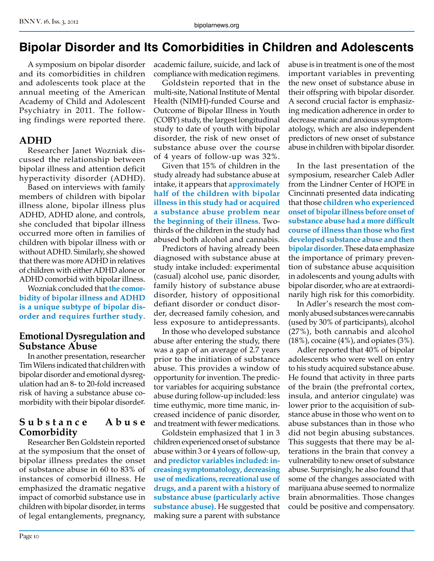# **Bipolar Disorder and Its Comorbidities in Children and Adolescents**

A symposium on bipolar disorder and its comorbidities in children and adolescents took place at the annual meeting of the American Academy of Child and Adolescent Psychiatry in 2011. The following findings were reported there.

#### **ADHD**

Researcher Janet Wozniak discussed the relationship between bipolar illness and attention deficit hyperactivity disorder (ADHD).

Based on interviews with family members of children with bipolar illness alone, bipolar illness plus ADHD, ADHD alone, and controls, she concluded that bipolar illness occurred more often in families of children with bipolar illness with or without ADHD. Similarly, she showed that there was more ADHD in relatives of children with either ADHD alone or ADHD comorbid with bipolar illness.

Wozniak concluded that **the comorbidity of bipolar illness and ADHD is a unique subtype of bipolar disorder and requires further study**.

#### **Emotional Dysregulation and Substance Abuse**

In another presentation, researcher Tim Wilens indicated that children with bipolar disorder and emotional dysregulation had an 8- to 20-fold increased risk of having a substance abuse comorbidity with their bipolar disorder.

#### Substance Abuse **Comorbidity**

Researcher Ben Goldstein reported at the symposium that the onset of bipolar illness predates the onset of substance abuse in 60 to 83% of instances of comorbid illness. He emphasized the dramatic negative impact of comorbid substance use in children with bipolar disorder, in terms of legal entanglements, pregnancy,

academic failure, suicide, and lack of compliance with medication regimens.

Goldstein reported that in the multi-site, National Institute of Mental Health (NIMH)-funded Course and Outcome of Bipolar Illness in Youth (COBY) study, the largest longitudinal study to date of youth with bipolar disorder, the risk of new onset of substance abuse over the course of 4 years of follow-up was 32%.

Given that 15% of children in the study already had substance abuse at intake, it appears that **approximately half of the children with bipolar illness in this study had or acquired a substance abuse problem near the beginning of their illness**. Twothirds of the children in the study had abused both alcohol and cannabis.

Predictors of having already been diagnosed with substance abuse at study intake included: experimental (casual) alcohol use, panic disorder, family history of substance abuse disorder, history of oppositional defiant disorder or conduct disorder, decreased family cohesion, and less exposure to antidepressants.

In those who developed substance abuse after entering the study, there was a gap of an average of 2.7 years prior to the initiation of substance abuse. This provides a window of opportunity for invention. The predictor variables for acquiring substance abuse during follow-up included: less time euthymic, more time manic, increased incidence of panic disorder, and treatment with fewer medications.

Goldstein emphasized that 1 in 3 children experienced onset of substance abuse within 3 or 4 years of follow-up, and **predictor variables included: increasing symptomatology, decreasing use of medications, recreational use of drugs, and a parent with a history of substance abuse (particularly active substance abuse).** He suggested that making sure a parent with substance

abuse is in treatment is one of the most important variables in preventing the new onset of substance abuse in their offspring with bipolar disorder. A second crucial factor is emphasizing medication adherence in order to decrease manic and anxious symptomatology, which are also independent predictors of new onset of substance abuse in children with bipolar disorder.

In the last presentation of the symposium, researcher Caleb Adler from the Lindner Center of HOPE in Cincinnati presented data indicating that those **children who experienced onset of bipolar illness before onset of substance abuse had a more difficult course of illness than those who first developed substance abuse and then bipolar disorder.** These data emphasize the importance of primary prevention of substance abuse acquisition in adolescents and young adults with bipolar disorder, who are at extraordinarily high risk for this comorbidity.

In Adler's research the most commonly abused substances were cannabis (used by 30% of participants), alcohol (27%), both cannabis and alcohol (18%), cocaine (4%), and opiates (3%).

Adler reported that 40% of bipolar adolescents who were well on entry to his study acquired substance abuse. He found that activity in three parts of the brain (the prefrontal cortex, insula, and anterior cingulate) was lower prior to the acquisition of substance abuse in those who went on to abuse substances than in those who did not begin abusing substances. This suggests that there may be alterations in the brain that convey a vulnerability to new onset of substance abuse. Surprisingly, he also found that some of the changes associated with marijuana abuse seemed to normalize brain abnormalities. Those changes could be positive and compensatory.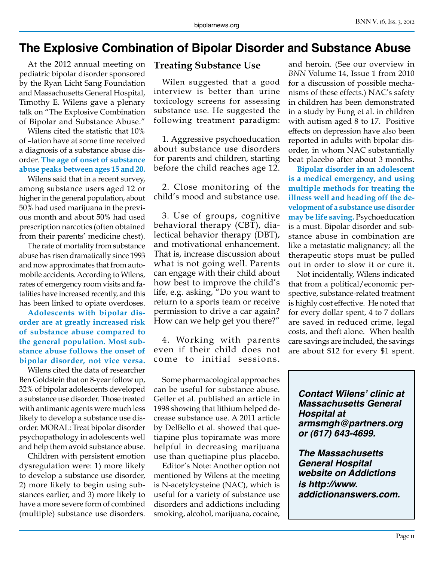# **The Explosive Combination of Bipolar Disorder and Substance Abuse**

At the 2012 annual meeting on pediatric bipolar disorder sponsored by the Ryan Licht Sang Foundation and Massachusetts General Hospital, Timothy E. Wilens gave a plenary talk on "The Explosive Combination of Bipolar and Substance Abuse."

Wilens cited the statistic that 10% of –lation have at some time received a diagnosis of a substance abuse disorder. **The age of onset of substance abuse peaks between ages 15 and 20.**

Wilens said that in a recent survey, among substance users aged 12 or higher in the general population, about 50% had used marijuana in the previous month and about 50% had used prescription narcotics (often obtained from their parents' medicine chest).

The rate of mortality from substance abuse has risen dramatically since 1993 and now approximates that from automobile accidents. According to Wilens, rates of emergency room visits and fatalities have increased recently, and this has been linked to opiate overdoses.

**Adolescents with bipolar disorder are at greatly increased risk of substance abuse compared to the general population. Most substance abuse follows the onset of bipolar disorder, not vice versa.** 

Wilens cited the data of researcher Ben Goldstein that on 8-year follow up, 32% of bipolar adolescents developed a substance use disorder. Those treated with antimanic agents were much less likely to develop a substance use disorder. MORAL: Treat bipolar disorder psychopathology in adolescents well and help them avoid substance abuse.

Children with persistent emotion dysregulation were: 1) more likely to develop a substance use disorder, 2) more likely to begin using substances earlier, and 3) more likely to have a more severe form of combined (multiple) substance use disorders.

# **Treating Substance Use**

Wilen suggested that a good interview is better than urine toxicology screens for assessing substance use. He suggested the following treatment paradigm:

1. Aggressive psychoeducation about substance use disorders for parents and children, starting before the child reaches age 12.

2. Close monitoring of the child's mood and substance use.

3. Use of groups, cognitive behavioral therapy (CBT), dialectical behavior therapy (DBT), and motivational enhancement. That is, increase discussion about what is not going well. Parents can engage with their child about how best to improve the child's life, e.g. asking, "Do you want to return to a sports team or receive permission to drive a car again? How can we help get you there?"

4. Working with parents even if their child does not come to initial sessions.

Some pharmacological approaches can be useful for substance abuse. Geller et al. published an article in 1998 showing that lithium helped decrease substance use. A 2011 article by DelBello et al. showed that quetiapine plus topiramate was more helpful in decreasing marijuana use than quetiapine plus placebo.

Editor's Note: Another option not mentioned by Wilens at the meeting is N-acetylcysteine (NAC), which is useful for a variety of substance use disorders and addictions including smoking, alcohol, marijuana, cocaine,

and heroin. (See our overview in *BNN* Volume 14, Issue 1 from 2010 for a discussion of possible mechanisms of these effects.) NAC's safety in children has been demonstrated in a study by Fung et al. in children with autism aged 8 to 17. Positive effects on depression have also been reported in adults with bipolar disorder, in whom NAC substantially beat placebo after about 3 months.

**Bipolar disorder in an adolescent is a medical emergency, and using multiple methods for treating the illness well and heading off the development of a substance use disorder may be life saving.** Psychoeducation is a must. Bipolar disorder and substance abuse in combination are like a metastatic malignancy; all the therapeutic stops must be pulled out in order to slow it or cure it.

Not incidentally, Wilens indicated that from a political/economic perspective, substance-related treatment is highly cost effective. He noted that for every dollar spent, 4 to 7 dollars are saved in reduced crime, legal costs, and theft alone. When health care savings are included, the savings are about \$12 for every \$1 spent.

*Contact Wilens' clinic at Massachusetts General Hospital at armsmgh@partners.org or (617) 643-4699.* 

*The Massachusetts General Hospital website on Addictions is http://www. addictionanswers.com.*